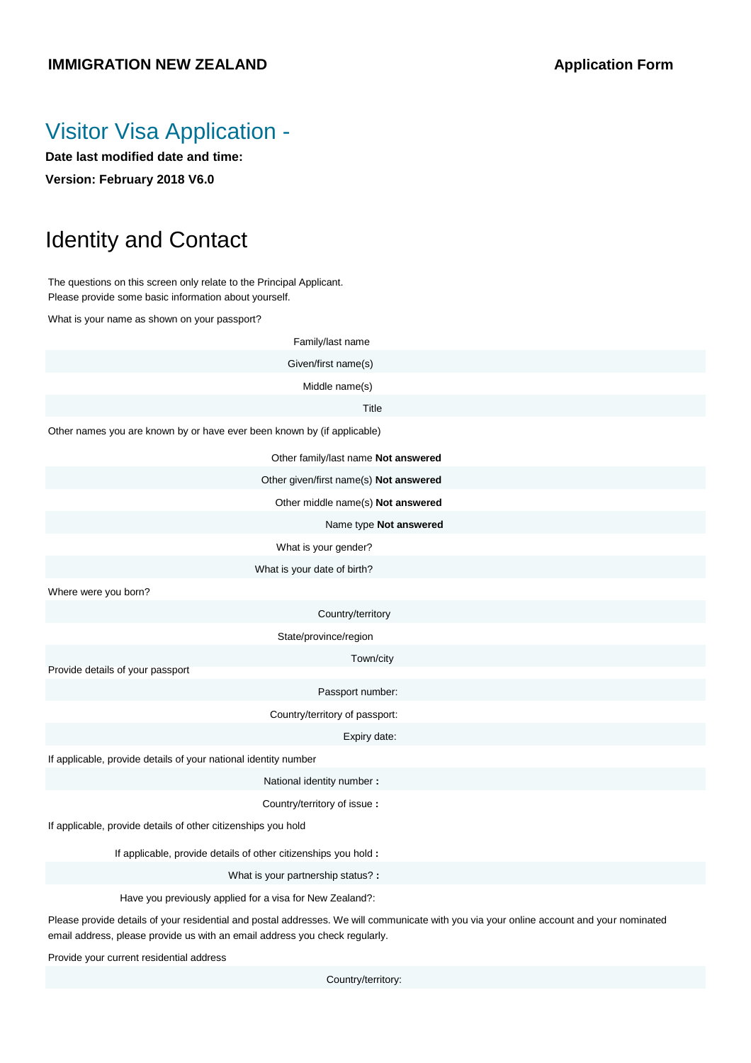#### **IMMIGRATION NEW ZEALAND Application Form**

#### Visitor Visa Application -

**Date last modified date and time: Version: February 2018 V6.0**

# Identity and Contact

The questions on this screen only relate to the Principal Applicant. Please provide some basic information about yourself.

What is your name as shown on your passport?

| Family/last name                                                        |
|-------------------------------------------------------------------------|
| Given/first name(s)                                                     |
| Middle name(s)                                                          |
| Title                                                                   |
| Other names you are known by or have ever been known by (if applicable) |
| Other family/last name Not answered                                     |
| Other given/first name(s) Not answered                                  |
| Other middle name(s) Not answered                                       |
| Name type Not answered                                                  |
| What is your gender?                                                    |
| What is your date of birth?                                             |
| Where were you born?                                                    |
| Country/territory                                                       |
| State/province/region                                                   |
| Town/city<br>Provide details of your passport                           |
| Passport number:                                                        |
| Country/territory of passport:                                          |
| Expiry date:                                                            |
| If applicable, provide details of your national identity number         |
| National identity number :                                              |
| Country/territory of issue:                                             |
| If applicable, provide details of other citizenships you hold           |
| If applicable, provide details of other citizenships you hold :         |
| What is your partnership status?:                                       |
|                                                                         |

Have you previously applied for a visa for New Zealand?:

Please provide details of your residential and postal addresses. We will communicate with you via your online account and your nominated email address, please provide us with an email address you check regularly.

Provide your current residential address

Country/territory: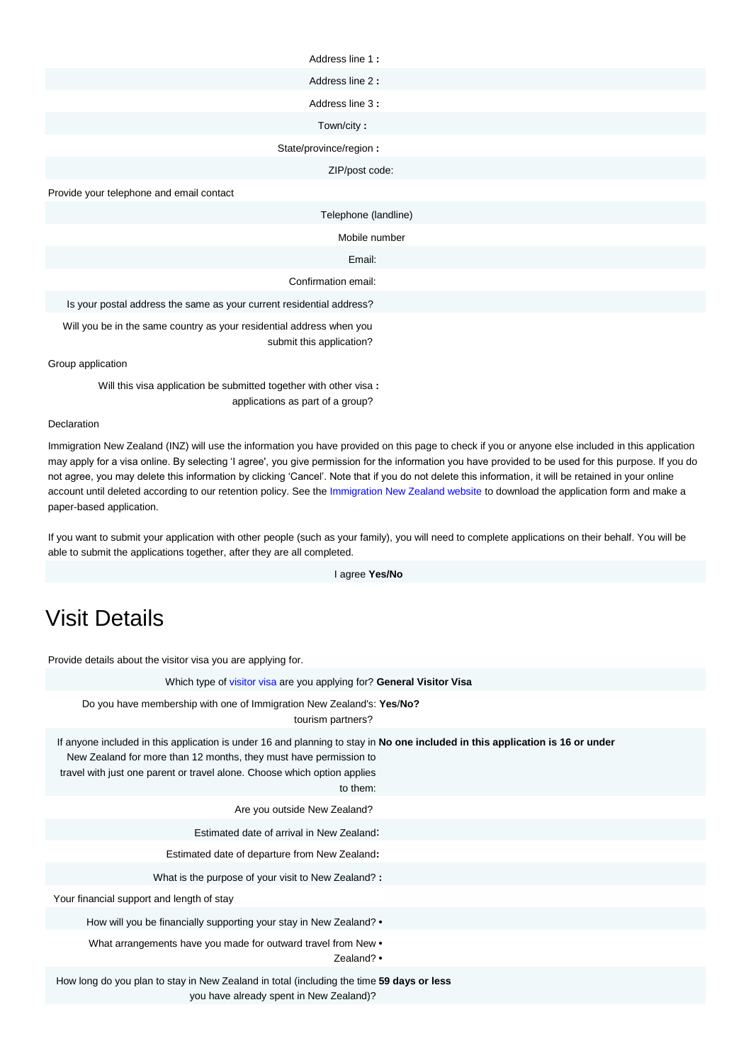| Address line 1:                                                                                  |
|--------------------------------------------------------------------------------------------------|
| Address line 2:                                                                                  |
| Address line 3:                                                                                  |
| Town/city:                                                                                       |
| State/province/region :                                                                          |
| ZIP/post code:                                                                                   |
| Provide your telephone and email contact                                                         |
| Telephone (landline)                                                                             |
| Mobile number                                                                                    |
| Email:                                                                                           |
| Confirmation email:                                                                              |
| Is your postal address the same as your current residential address?                             |
| Will you be in the same country as your residential address when you<br>submit this application? |
| Group application                                                                                |

Will this visa application be submitted together with other visa **:** applications as part of a group?

#### Declaration

Immigration New Zealand (INZ) will use the information you have provided on this page to check if you or anyone else included in this application may apply for a visa online. By selecting 'I agree', you give permission for the information you have provided to be used for this purpose. If you do not agree, you may delete this information by clicking 'Cancel'. Note that if you do not delete this information, it will be retained in your online account until deleted according to our retention policy. See the Immigration New Zealand website to download the application form and make a paper-based application.

If you want to submit your application with other people (such as your family), you will need to complete applications on their behalf. You will be able to submit the applications together, after they are all completed.

I agree **Yes/No**

# Visit Details

Provide details about the visitor visa you are applying for.

| Which type of visitor visa are you applying for? General Visitor Visa                                                                                                                                                                                                                      |
|--------------------------------------------------------------------------------------------------------------------------------------------------------------------------------------------------------------------------------------------------------------------------------------------|
| Do you have membership with one of Immigration New Zealand's: Yes/No?<br>tourism partners?                                                                                                                                                                                                 |
| If anyone included in this application is under 16 and planning to stay in No one included in this application is 16 or under<br>New Zealand for more than 12 months, they must have permission to<br>travel with just one parent or travel alone. Choose which option applies<br>to them: |
| Are you outside New Zealand?                                                                                                                                                                                                                                                               |
| Estimated date of arrival in New Zealand:                                                                                                                                                                                                                                                  |
| Estimated date of departure from New Zealand:                                                                                                                                                                                                                                              |
| What is the purpose of your visit to New Zealand?:                                                                                                                                                                                                                                         |
| Your financial support and length of stay                                                                                                                                                                                                                                                  |
| How will you be financially supporting your stay in New Zealand? •                                                                                                                                                                                                                         |
| What arrangements have you made for outward travel from New •<br>Zealand? •                                                                                                                                                                                                                |
| How long do you plan to stay in New Zealand in total (including the time 59 days or less<br>you have already spent in New Zealand)?                                                                                                                                                        |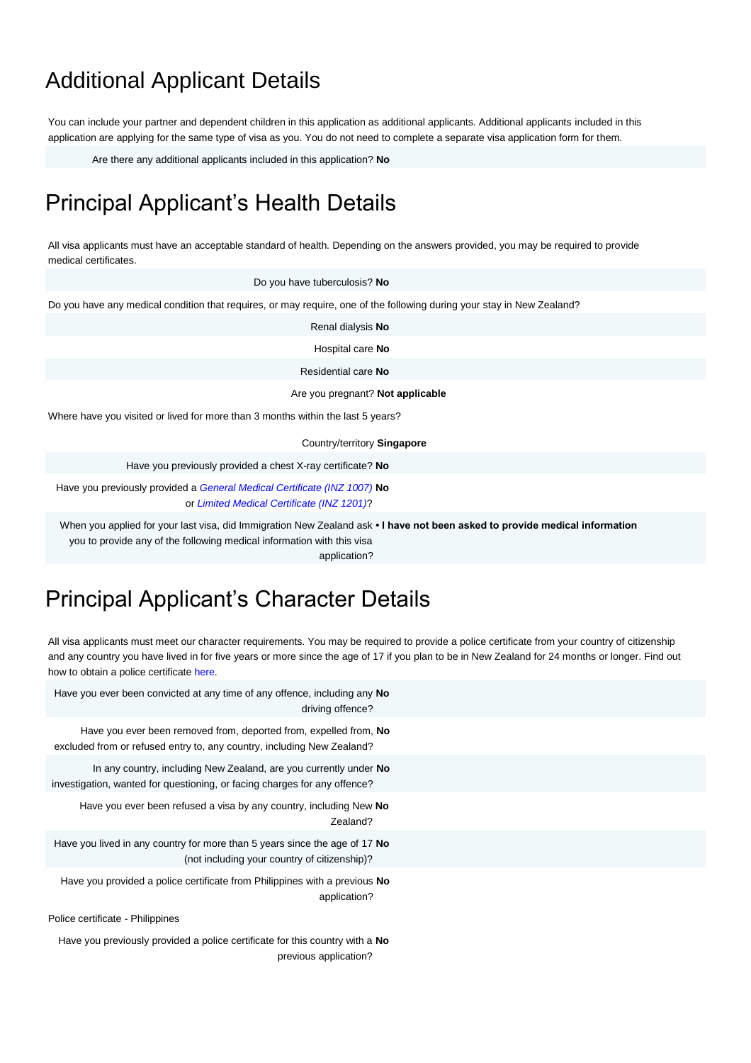### Additional Applicant Details

You can include your partner and dependent children in this application as additional applicants. Additional applicants included in this application are applying for the same type of visa as you. You do not need to complete a separate visa application form for them.

Are there any additional applicants included in this application? **No**

#### Principal Applicant's Health Details

All visa applicants must have an acceptable standard of health. Depending on the answers provided, you may be required to provide medical certificates.

Do you have tuberculosis? **No**

Do you have any medical condition that requires, or may require, one of the following during your stay in New Zealand?

Renal dialysis **No**

Hospital care **No**

Residential care **No**

Are you pregnant? **Not applicable**

Where have you visited or lived for more than 3 months within the last 5 years?

Country/territory **Singapore**

Have you previously provided a chest X-ray certificate? **No**

Have you previously provided a *General Medical Certificate (INZ 1007)* **No** or *Limited Medical Certificate (INZ 1201)*?

When you applied for your last visa, did Immigration New Zealand ask **• I have not been asked to provide medical information**

you to provide any of the following medical information with this visa application?

# Principal Applicant's Character Details

All visa applicants must meet our character requirements. You may be required to provide a police certificate from your country of citizenship and any country you have lived in for five years or more since the age of 17 if you plan to be in New Zealand for 24 months or longer. Find out how to obtain a police certificate here.

| Have you ever been convicted at any time of any offence, including any No<br>driving offence?                                                  |
|------------------------------------------------------------------------------------------------------------------------------------------------|
| Have you ever been removed from, deported from, expelled from, No<br>excluded from or refused entry to, any country, including New Zealand?    |
| In any country, including New Zealand, are you currently under No<br>investigation, wanted for questioning, or facing charges for any offence? |
| Have you ever been refused a visa by any country, including New No<br>Zealand?                                                                 |
| Have you lived in any country for more than 5 years since the age of 17 No<br>(not including your country of citizenship)?                     |
| Have you provided a police certificate from Philippines with a previous No<br>application?                                                     |
| Police certificate - Philippines                                                                                                               |
| Have you previously provided a police certificate for this country with a <b>No</b><br>previous application?                                   |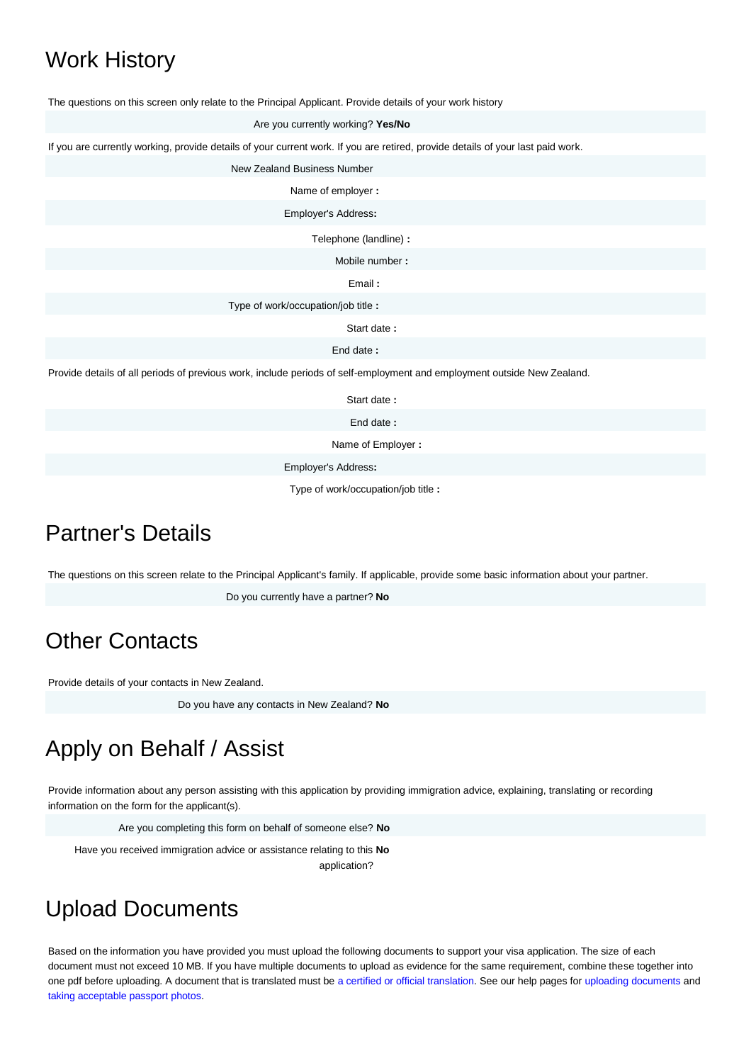### Work History

The questions on this screen only relate to the Principal Applicant. Provide details of your work history

Are you currently working? **Yes/No**

If you are currently working, provide details of your current work. If you are retired, provide details of your last paid work.

New Zealand Business Number

Name of employer **:**

Employer's Address**:**

Telephone (landline) **:**

Mobile number **:**

Email **:**

Type of work/occupation/job title **:**

Start date **:**

End date **:**

Provide details of all periods of previous work, include periods of self-employment and employment outside New Zealand.

Start date **:**

End date **:**

Name of Employer **:**

Employer's Address**:**

Type of work/occupation/job title **:**

#### Partner's Details

The questions on this screen relate to the Principal Applicant's family. If applicable, provide some basic information about your partner.

Do you currently have a partner? **No**

#### Other Contacts

Provide details of your contacts in New Zealand.

Do you have any contacts in New Zealand? **No**

# Apply on Behalf / Assist

Provide information about any person assisting with this application by providing immigration advice, explaining, translating or recording information on the form for the applicant(s).

Are you completing this form on behalf of someone else? **No**

Have you received immigration advice or assistance relating to this **No** application?

#### Upload Documents

Based on the information you have provided you must upload the following documents to support your visa application. The size of each document must not exceed 10 MB. If you have multiple documents to upload as evidence for the same requirement, combine these together into one pdf before uploading. A document that is translated must be a certified or official translation. See our help pages for uploading documents and taking acceptable passport photos.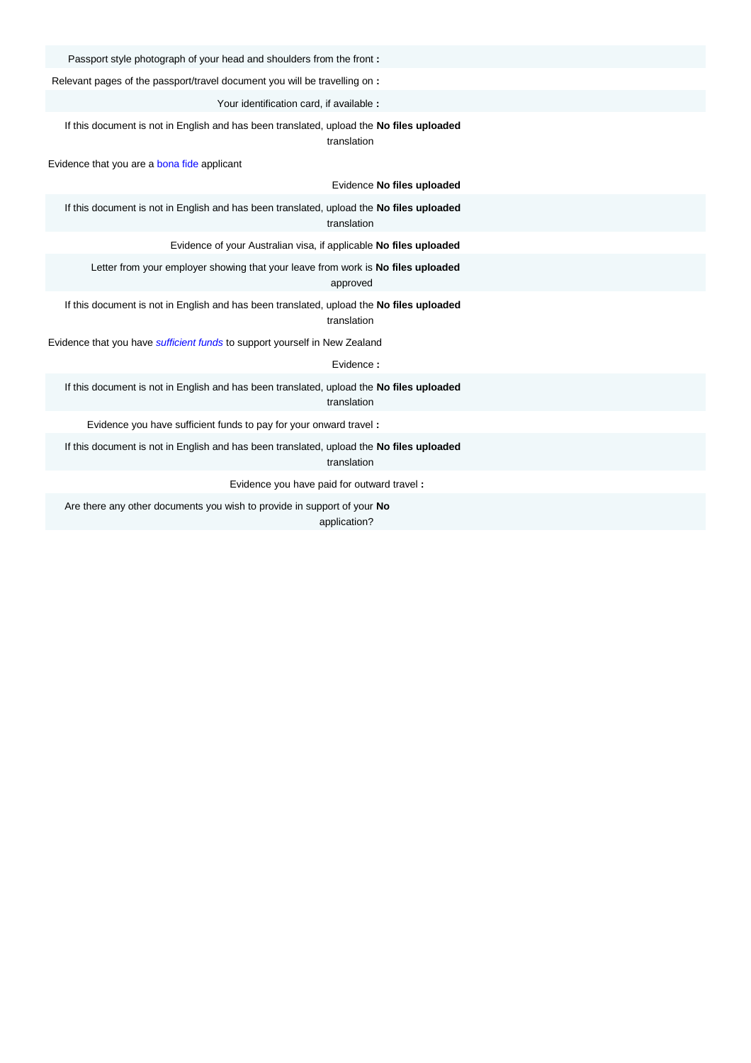Passport style photograph of your head and shoulders from the front **:**

Relevant pages of the passport/travel document you will be travelling on **:**

Your identification card, if available **:**

If this document is not in English and has been translated, upload the **No files uploaded**

translation

Evidence that you are a bona fide applicant

Evidence **No files uploaded**

If this document is not in English and has been translated, upload the **No files uploaded** translation

Evidence of your Australian visa, if applicable **No files uploaded**

Letter from your employer showing that your leave from work is **No files uploaded** approved

If this document is not in English and has been translated, upload the **No files uploaded** translation

Evidence that you have *sufficient funds* to support yourself in New Zealand

Evidence **:**

If this document is not in English and has been translated, upload the **No files uploaded** translation

Evidence you have sufficient funds to pay for your onward travel **:**

If this document is not in English and has been translated, upload the **No files uploaded** translation

Evidence you have paid for outward travel **:**

Are there any other documents you wish to provide in support of your **No** application?